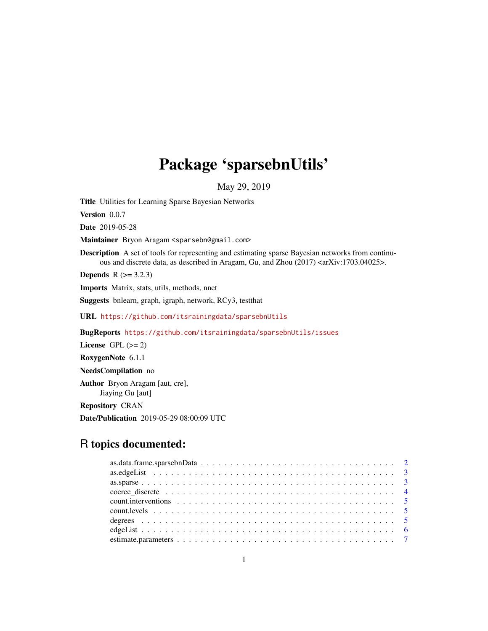# Package 'sparsebnUtils'

May 29, 2019

<span id="page-0-0"></span>Title Utilities for Learning Sparse Bayesian Networks

Version 0.0.7

Date 2019-05-28

Maintainer Bryon Aragam <sparsebn@gmail.com>

Description A set of tools for representing and estimating sparse Bayesian networks from continuous and discrete data, as described in Aragam, Gu, and Zhou (2017) <arXiv:1703.04025>.

**Depends** R  $(>= 3.2.3)$ 

Imports Matrix, stats, utils, methods, nnet

Suggests bnlearn, graph, igraph, network, RCy3, testthat

URL <https://github.com/itsrainingdata/sparsebnUtils>

BugReports <https://github.com/itsrainingdata/sparsebnUtils/issues>

License GPL  $(>= 2)$ 

RoxygenNote 6.1.1

NeedsCompilation no

Author Bryon Aragam [aut, cre], Jiaying Gu [aut]

Repository CRAN

Date/Publication 2019-05-29 08:00:09 UTC

# R topics documented:

| count. interventions $\ldots \ldots \ldots \ldots \ldots \ldots \ldots \ldots \ldots \ldots \ldots \ldots \ldots 5$ |  |
|---------------------------------------------------------------------------------------------------------------------|--|
|                                                                                                                     |  |
|                                                                                                                     |  |
|                                                                                                                     |  |
|                                                                                                                     |  |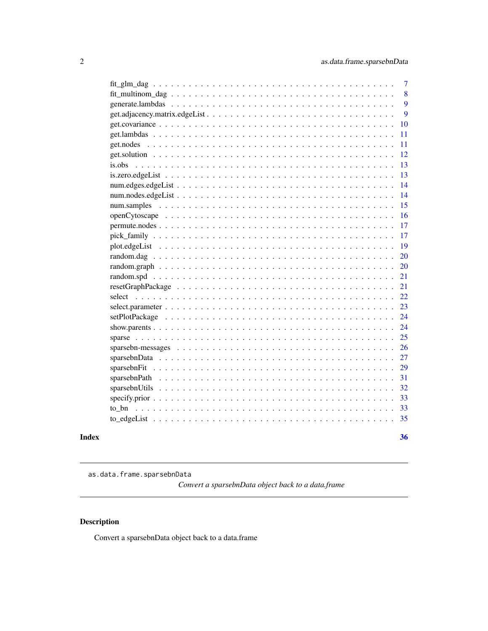<span id="page-1-0"></span>

|  | $\overline{7}$ |
|--|----------------|
|  | 8              |
|  | 9              |
|  | 9              |
|  | <b>10</b>      |
|  | 11             |
|  | 11             |
|  | 12             |
|  | 13             |
|  | 13             |
|  | 14             |
|  | 14             |
|  | 15             |
|  | 16             |
|  | 17             |
|  | 17             |
|  | 19             |
|  | 20             |
|  | 20             |
|  | 21             |
|  | 21             |
|  | 22             |
|  | 23             |
|  | 24             |
|  | 24             |
|  | 25             |
|  | 26             |
|  | 27             |
|  | 29             |
|  | 31             |
|  | 32             |
|  | 33             |
|  | 33             |
|  | 35             |
|  | 36             |

as.data.frame.sparsebnData

*Convert a sparsebnData object back to a data.frame*

# Description

Convert a sparsebnData object back to a data.frame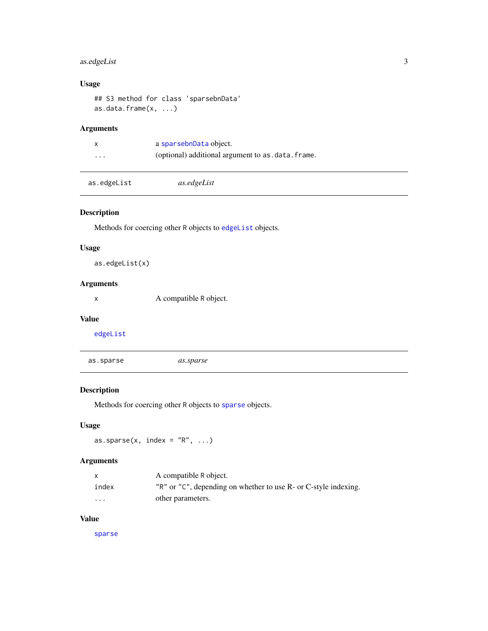# <span id="page-2-0"></span>as.edgeList 3

# Usage

```
## S3 method for class 'sparsebnData'
as.data.frame(x, \ldots)
```
# Arguments

|                         | a sparsebnData object.                           |
|-------------------------|--------------------------------------------------|
| $\cdot$ $\cdot$ $\cdot$ | (optional) additional argument to as.data.frame. |

# Description

Methods for coercing other R objects to [edgeList](#page-5-1) objects.

# Usage

```
as.edgeList(x)
```
# Arguments

x A compatible R object.

#### Value

[edgeList](#page-5-1)

| as.sparse | as.sparse |  |  |
|-----------|-----------|--|--|
|           |           |  |  |

# Description

Methods for coercing other R objects to [sparse](#page-24-1) objects.

# Usage

as.sparse(x, index =  $"R", ...$ )

# Arguments

|         | A compatible R object.                                          |
|---------|-----------------------------------------------------------------|
| index   | "R" or "C", depending on whether to use R- or C-style indexing. |
| $\cdot$ | other parameters.                                               |

# Value

[sparse](#page-24-1)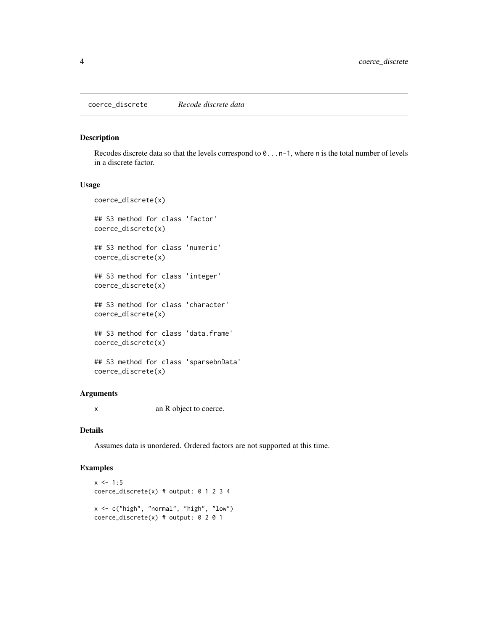<span id="page-3-0"></span>coerce\_discrete *Recode discrete data*

#### Description

Recodes discrete data so that the levels correspond to 0...n-1, where n is the total number of levels in a discrete factor.

#### Usage

```
coerce_discrete(x)
```
## S3 method for class 'factor' coerce\_discrete(x)

## S3 method for class 'numeric' coerce\_discrete(x)

## S3 method for class 'integer' coerce\_discrete(x)

## S3 method for class 'character' coerce\_discrete(x)

## S3 method for class 'data.frame' coerce\_discrete(x)

## S3 method for class 'sparsebnData' coerce\_discrete(x)

# Arguments

x an R object to coerce.

# Details

Assumes data is unordered. Ordered factors are not supported at this time.

#### Examples

```
x \le -1:5coerce_discrete(x) # output: 0 1 2 3 4
x <- c("high", "normal", "high", "low")
coerce_discrete(x) # output: 0 2 0 1
```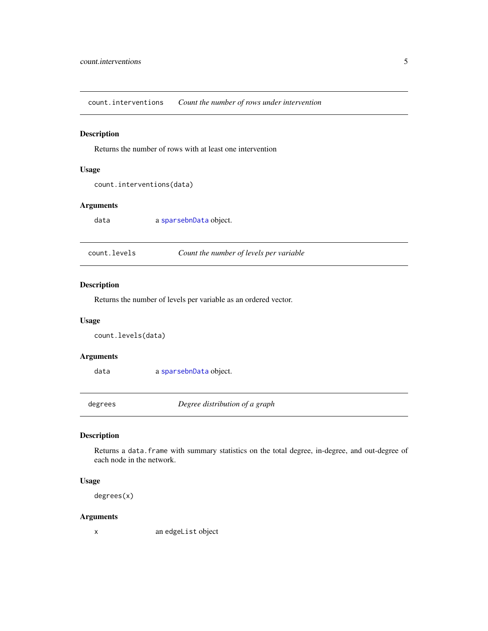<span id="page-4-2"></span><span id="page-4-0"></span>count.interventions *Count the number of rows under intervention*

#### Description

Returns the number of rows with at least one intervention

#### Usage

count.interventions(data)

# Arguments

data a [sparsebnData](#page-26-1) object.

<span id="page-4-1"></span>

| count.levels | Count the number of levels per variable |
|--------------|-----------------------------------------|
|--------------|-----------------------------------------|

# Description

Returns the number of levels per variable as an ordered vector.

#### Usage

```
count.levels(data)
```
#### Arguments

data a [sparsebnData](#page-26-1) object.

degrees *Degree distribution of a graph*

#### Description

Returns a data.frame with summary statistics on the total degree, in-degree, and out-degree of each node in the network.

#### Usage

degrees(x)

# Arguments

x an edgeList object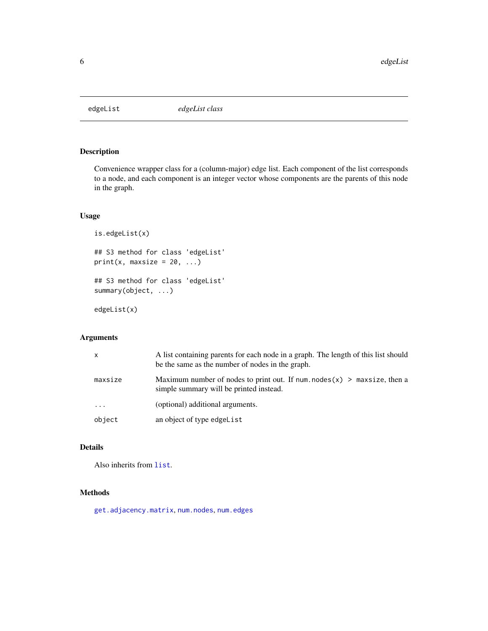<span id="page-5-1"></span><span id="page-5-0"></span>

Convenience wrapper class for a (column-major) edge list. Each component of the list corresponds to a node, and each component is an integer vector whose components are the parents of this node in the graph.

#### Usage

```
is.edgeList(x)
## S3 method for class 'edgeList'
print(x, maxsize = 20, ...)
## S3 method for class 'edgeList'
summary(object, ...)
```
edgeList(x)

# Arguments

| x        | A list containing parents for each node in a graph. The length of this list should<br>be the same as the number of nodes in the graph. |
|----------|----------------------------------------------------------------------------------------------------------------------------------------|
| maxsize  | Maximum number of nodes to print out. If num. nodes $(x)$ > maxsize, then a<br>simple summary will be printed instead.                 |
| $\ddots$ | (optional) additional arguments.                                                                                                       |
| object   | an object of type edgeList                                                                                                             |

# Details

Also inherits from [list](#page-0-0).

# Methods

[get.adjacency.matrix](#page-8-1), [num.nodes](#page-13-1), [num.edges](#page-13-2)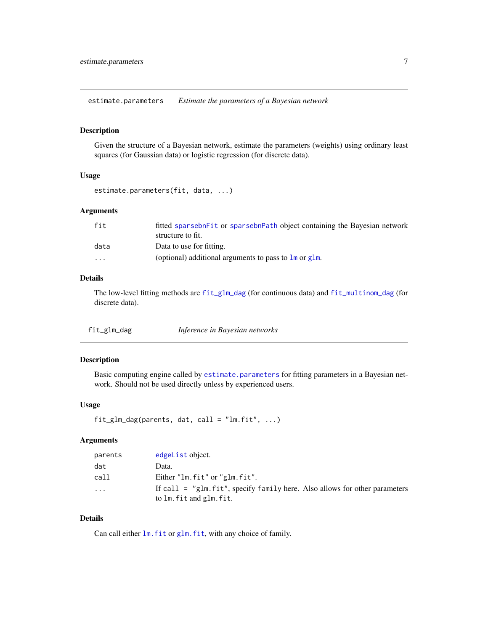<span id="page-6-2"></span><span id="page-6-0"></span>estimate.parameters *Estimate the parameters of a Bayesian network*

#### Description

Given the structure of a Bayesian network, estimate the parameters (weights) using ordinary least squares (for Gaussian data) or logistic regression (for discrete data).

# Usage

```
estimate.parameters(fit, data, ...)
```
# Arguments

| fit      | fitted sparsebn Fit or sparsebn Path object containing the Bayesian network |
|----------|-----------------------------------------------------------------------------|
|          | structure to fit.                                                           |
| data     | Data to use for fitting.                                                    |
| $\cdots$ | (optional) additional arguments to pass to $\text{Im}$ or $\text{glm}$ .    |

# Details

The low-level fitting methods are [fit\\_glm\\_dag](#page-6-1) (for continuous data) and [fit\\_multinom\\_dag](#page-7-1) (for discrete data).

<span id="page-6-1"></span>

| fit_glm_dag | Inference in Bayesian networks |
|-------------|--------------------------------|
|-------------|--------------------------------|

# Description

Basic computing engine called by [estimate.parameters](#page-6-2) for fitting parameters in a Bayesian network. Should not be used directly unless by experienced users.

# Usage

```
fit\_glm\_dag(parents, dat, call = "lm.fit", ...)
```
# Arguments

| parents | edgeList object.                                                                                          |
|---------|-----------------------------------------------------------------------------------------------------------|
| dat     | Data.                                                                                                     |
| call    | Either "lm.fit" or "glm.fit".                                                                             |
| $\cdot$ | If call $=$ "glm. fit", specify family here. Also allows for other parameters<br>to lm. fit and glm. fit. |

# Details

Can call either  $lm$ . fit or glm. fit, with any choice of family.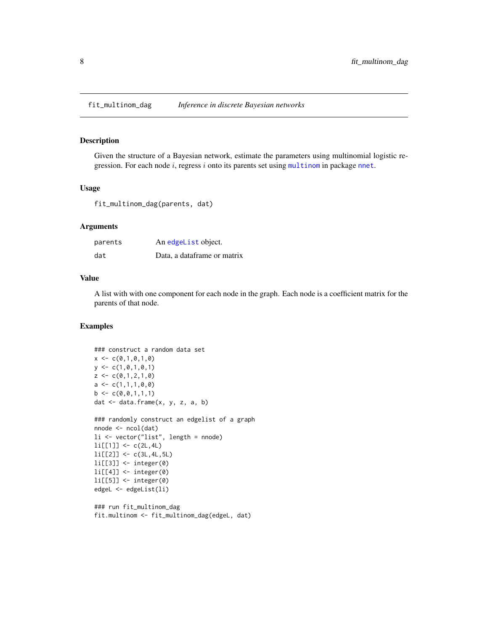<span id="page-7-1"></span><span id="page-7-0"></span>

Given the structure of a Bayesian network, estimate the parameters using multinomial logistic regression. For each node  $i$ , regress  $i$  onto its parents set using [multinom](#page-0-0) in package [nnet](#page-0-0).

# Usage

fit\_multinom\_dag(parents, dat)

#### Arguments

| parents | An edgeList object.         |
|---------|-----------------------------|
| dat     | Data, a dataframe or matrix |

#### Value

A list with with one component for each node in the graph. Each node is a coefficient matrix for the parents of that node.

#### Examples

```
### construct a random data set
x < -c(0,1,0,1,0)y \leftarrow c(1, 0, 1, 0, 1)z \leq c(0,1,2,1,0)a \leftarrow c(1,1,1,0,0)b \leq c(0, 0, 1, 1, 1)dat <- data.frame(x, y, z, a, b)
### randomly construct an edgelist of a graph
nnode <- ncol(dat)
li <- vector("list", length = nnode)
li[[1]] \leftarrow c(2L, 4L)li[[2]] <- c(3L,4L,5L)
li[[3]] <- integer(0)
li[[4]] <- integer(0)
li[[5]] <- integer(0)
edgeL <- edgeList(li)
```

```
### run fit_multinom_dag
fit.multinom <- fit_multinom_dag(edgeL, dat)
```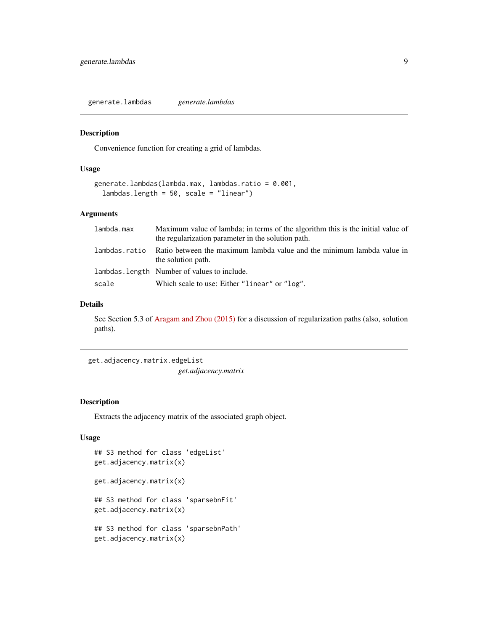<span id="page-8-0"></span>generate.lambdas *generate.lambdas*

#### Description

Convenience function for creating a grid of lambdas.

#### Usage

```
generate.lambdas(lambda.max, lambdas.ratio = 0.001,
 lambdas.length = 50, scale = "linear")
```
# Arguments

| lambda.max    | Maximum value of lambda; in terms of the algorithm this is the initial value of              |
|---------------|----------------------------------------------------------------------------------------------|
|               | the regularization parameter in the solution path.                                           |
| lambdas.ratio | Ratio between the maximum lambda value and the minimum lambda value in<br>the solution path. |
|               | lambdas. length Number of values to include.                                                 |
| scale         | Which scale to use: Either "linear" or "log".                                                |

#### Details

See Section 5.3 of [Aragam and Zhou \(2015\)](http://jmlr.org/papers/v16/aragam15a.html) for a discussion of regularization paths (also, solution paths).

get.adjacency.matrix.edgeList

*get.adjacency.matrix*

#### <span id="page-8-1"></span>Description

Extracts the adjacency matrix of the associated graph object.

# Usage

```
## S3 method for class 'edgeList'
get.adjacency.matrix(x)
get.adjacency.matrix(x)
## S3 method for class 'sparsebnFit'
get.adjacency.matrix(x)
## S3 method for class 'sparsebnPath'
get.adjacency.matrix(x)
```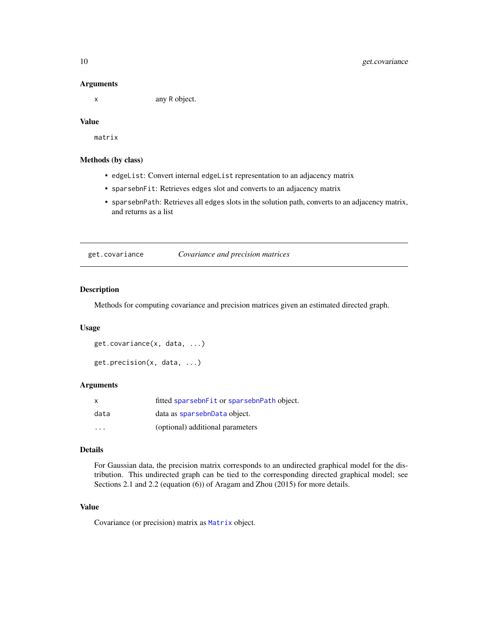#### Arguments

x any R object.

# Value

matrix

#### Methods (by class)

- edgeList: Convert internal edgeList representation to an adjacency matrix
- sparsebnFit: Retrieves edges slot and converts to an adjacency matrix
- sparsebnPath: Retrieves all edges slots in the solution path, converts to an adjacency matrix, and returns as a list

<span id="page-9-2"></span>get.covariance *Covariance and precision matrices*

# <span id="page-9-1"></span>Description

Methods for computing covariance and precision matrices given an estimated directed graph.

#### Usage

```
get.covariance(x, data, ...)
get.precision(x, data, ...)
```
#### Arguments

| $\mathsf{x}$ | fitted sparsebnFit or sparsebnPath object. |
|--------------|--------------------------------------------|
| data         | data as sparsebnData object.               |
| .            | (optional) additional parameters           |

#### Details

For Gaussian data, the precision matrix corresponds to an undirected graphical model for the distribution. This undirected graph can be tied to the corresponding directed graphical model; see Sections 2.1 and 2.2 (equation (6)) of Aragam and Zhou (2015) for more details.

#### Value

Covariance (or precision) matrix as [Matrix](#page-0-0) object.

<span id="page-9-0"></span>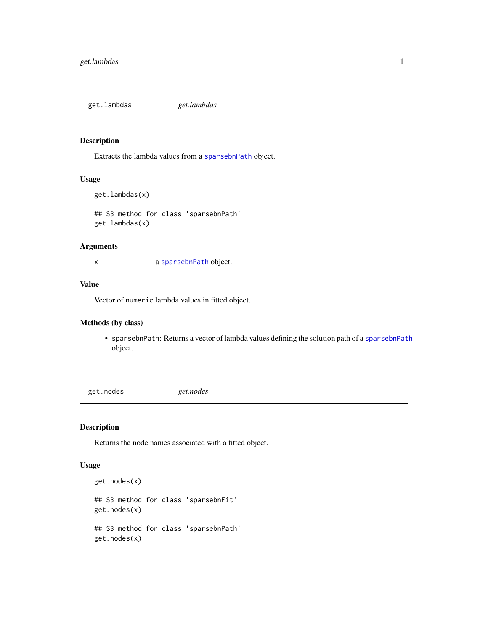<span id="page-10-1"></span><span id="page-10-0"></span>get.lambdas *get.lambdas*

# Description

Extracts the lambda values from a [sparsebnPath](#page-30-1) object.

# Usage

```
get.lambdas(x)
```
## S3 method for class 'sparsebnPath' get.lambdas(x)

# Arguments

x a [sparsebnPath](#page-30-1) object.

# Value

Vector of numeric lambda values in fitted object.

# Methods (by class)

• sparsebnPath: Returns a vector of lambda values defining the solution path of a [sparsebnPath](#page-30-1) object.

get.nodes *get.nodes*

# Description

Returns the node names associated with a fitted object.

#### Usage

```
get.nodes(x)
## S3 method for class 'sparsebnFit'
get.nodes(x)
## S3 method for class 'sparsebnPath'
get.nodes(x)
```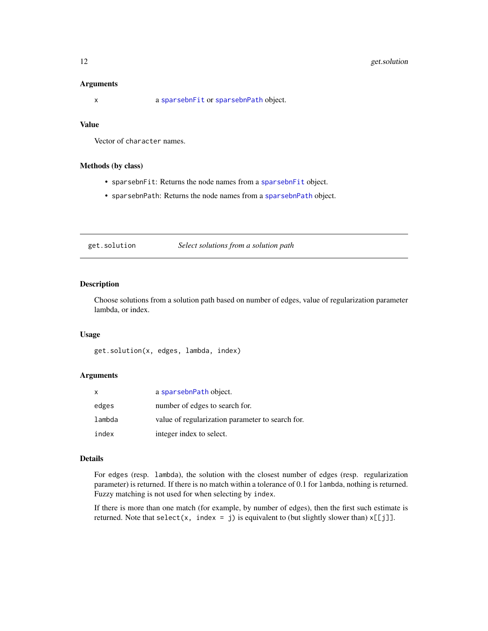# <span id="page-11-0"></span>12 get.solution

#### **Arguments**

x a [sparsebnFit](#page-28-1) or [sparsebnPath](#page-30-1) object.

# Value

Vector of character names.

## Methods (by class)

- sparsebnFit: Returns the node names from a [sparsebnFit](#page-28-1) object.
- sparsebnPath: Returns the node names from a [sparsebnPath](#page-30-1) object.

get.solution *Select solutions from a solution path*

#### Description

Choose solutions from a solution path based on number of edges, value of regularization parameter lambda, or index.

#### Usage

get.solution(x, edges, lambda, index)

#### Arguments

| X      | a sparsebnPath object.                           |
|--------|--------------------------------------------------|
| edges  | number of edges to search for.                   |
| lambda | value of regularization parameter to search for. |
| index  | integer index to select.                         |

#### Details

For edges (resp. lambda), the solution with the closest number of edges (resp. regularization parameter) is returned. If there is no match within a tolerance of 0.1 for lambda, nothing is returned. Fuzzy matching is not used for when selecting by index.

If there is more than one match (for example, by number of edges), then the first such estimate is returned. Note that select(x, index = j) is equivalent to (but slightly slower than)  $x[[j]]$ .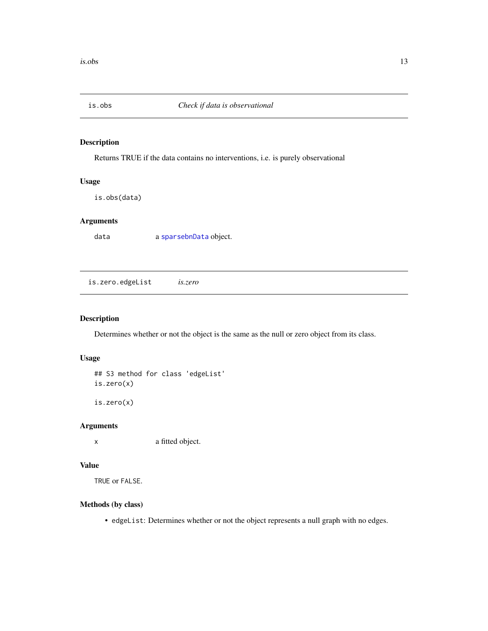<span id="page-12-1"></span><span id="page-12-0"></span>

Returns TRUE if the data contains no interventions, i.e. is purely observational

# Usage

is.obs(data)

# Arguments

data a [sparsebnData](#page-26-1) object.

is.zero.edgeList *is.zero*

# Description

Determines whether or not the object is the same as the null or zero object from its class.

# Usage

```
## S3 method for class 'edgeList'
is.zero(x)
is.zero(x)
```
#### Arguments

x a fitted object.

#### Value

TRUE or FALSE.

#### Methods (by class)

• edgeList: Determines whether or not the object represents a null graph with no edges.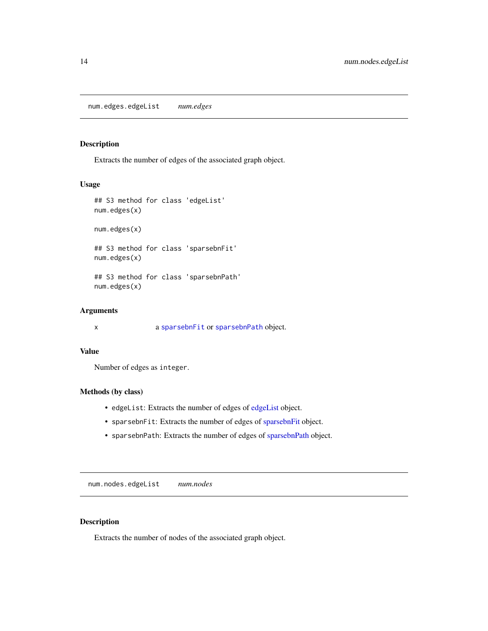<span id="page-13-2"></span><span id="page-13-0"></span>Extracts the number of edges of the associated graph object.

# Usage

```
## S3 method for class 'edgeList'
num.edges(x)
num.edges(x)
## S3 method for class 'sparsebnFit'
num.edges(x)
## S3 method for class 'sparsebnPath'
num.edges(x)
```
# Arguments

x a [sparsebnFit](#page-28-1) or [sparsebnPath](#page-30-1) object.

#### Value

Number of edges as integer.

# Methods (by class)

- edgeList: Extracts the number of edges of [edgeList](#page-5-1) object.
- sparsebnFit: Extracts the number of edges of [sparsebnFit](#page-28-1) object.
- sparsebnPath: Extracts the number of edges of [sparsebnPath](#page-30-1) object.

num.nodes.edgeList *num.nodes*

# <span id="page-13-1"></span>Description

Extracts the number of nodes of the associated graph object.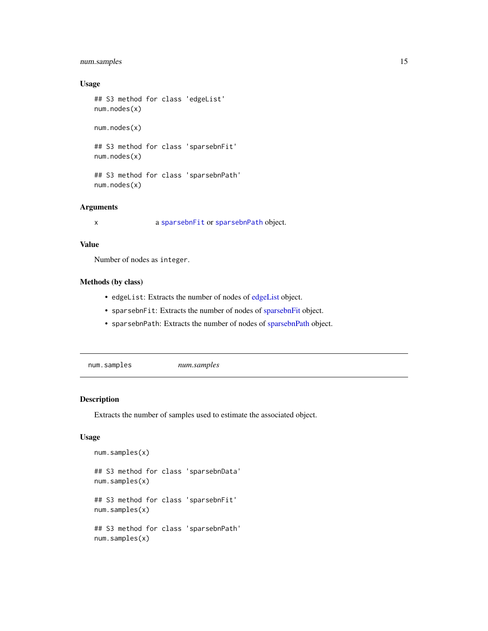# <span id="page-14-0"></span>num.samples 15

# Usage

```
## S3 method for class 'edgeList'
num.nodes(x)
num.nodes(x)
## S3 method for class 'sparsebnFit'
num.nodes(x)
## S3 method for class 'sparsebnPath'
num.nodes(x)
```
# Arguments

x a [sparsebnFit](#page-28-1) or [sparsebnPath](#page-30-1) object.

#### Value

Number of nodes as integer.

# Methods (by class)

- edgeList: Extracts the number of nodes of [edgeList](#page-5-1) object.
- sparsebnFit: Extracts the number of nodes of [sparsebnFit](#page-28-1) object.
- sparsebnPath: Extracts the number of nodes of [sparsebnPath](#page-30-1) object.

<span id="page-14-1"></span>num.samples *num.samples*

#### Description

Extracts the number of samples used to estimate the associated object.

#### Usage

```
num.samples(x)
## S3 method for class 'sparsebnData'
num.samples(x)
## S3 method for class 'sparsebnFit'
num.samples(x)
## S3 method for class 'sparsebnPath'
num.samples(x)
```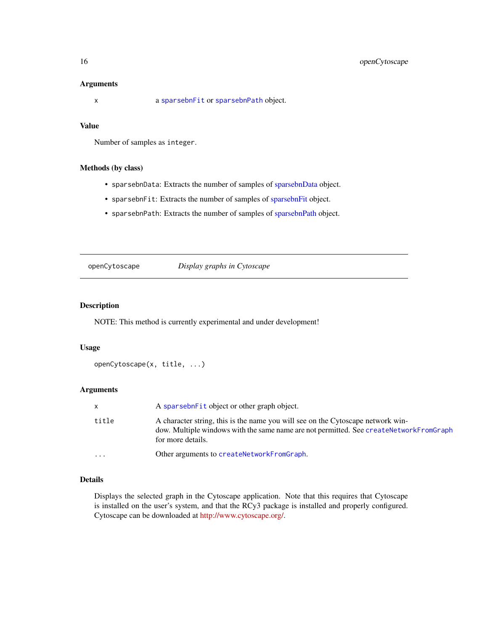#### <span id="page-15-0"></span>Arguments

x a [sparsebnFit](#page-28-1) or [sparsebnPath](#page-30-1) object.

# Value

Number of samples as integer.

# Methods (by class)

- sparsebnData: Extracts the number of samples of [sparsebnData](#page-26-1) object.
- sparsebnFit: Extracts the number of samples of [sparsebnFit](#page-28-1) object.
- sparsebnPath: Extracts the number of samples of [sparsebnPath](#page-30-1) object.

openCytoscape *Display graphs in Cytoscape*

#### Description

NOTE: This method is currently experimental and under development!

#### Usage

```
openCytoscape(x, title, ...)
```
# Arguments

|           | A sparsebnet t object or other graph object.                                                                                                                                                   |
|-----------|------------------------------------------------------------------------------------------------------------------------------------------------------------------------------------------------|
| title     | A character string, this is the name you will see on the Cytoscape network win-<br>dow. Multiple windows with the same name are not permitted. See createNetworkFromGraph<br>for more details. |
| $\ddotsc$ | Other arguments to createNetworkFromGraph.                                                                                                                                                     |

# Details

Displays the selected graph in the Cytoscape application. Note that this requires that Cytoscape is installed on the user's system, and that the RCy3 package is installed and properly configured. Cytoscape can be downloaded at [http://www.cytoscape.org/.](http://www.cytoscape.org/)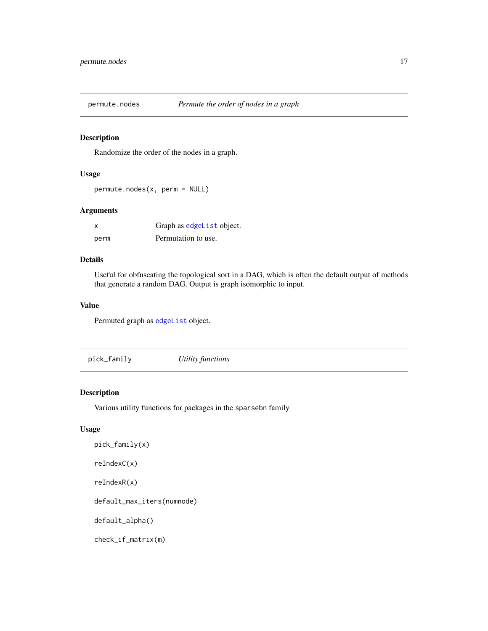<span id="page-16-0"></span>

Randomize the order of the nodes in a graph.

# Usage

permute.nodes(x, perm = NULL)

# Arguments

| X    | Graph as edgeList object. |
|------|---------------------------|
| perm | Permutation to use.       |

# Details

Useful for obfuscating the topological sort in a DAG, which is often the default output of methods that generate a random DAG. Output is graph isomorphic to input.

#### Value

Permuted graph as [edgeList](#page-5-1) object.

pick\_family *Utility functions*

# Description

Various utility functions for packages in the sparsebn family

# Usage

```
pick_family(x)
reIndexC(x)
reIndexR(x)
default_max_iters(numnode)
default_alpha()
check_if_matrix(m)
```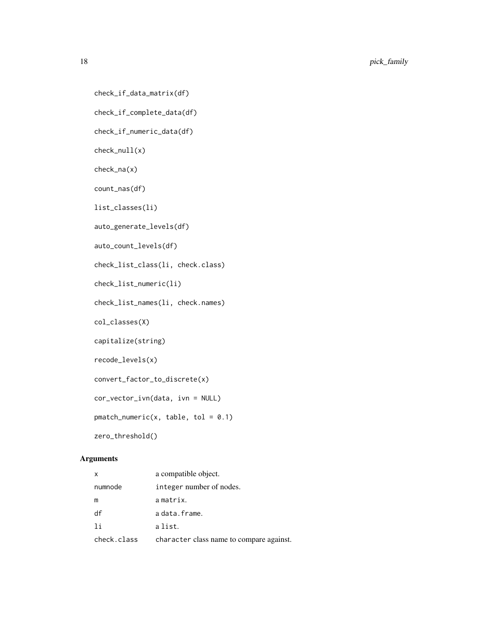18 pick\_family

```
check_if_data_matrix(df)
```
check\_if\_complete\_data(df)

check\_if\_numeric\_data(df)

check\_null(x)

check\_na(x)

count\_nas(df)

list\_classes(li)

auto\_generate\_levels(df)

auto\_count\_levels(df)

check\_list\_class(li, check.class)

check\_list\_numeric(li)

check\_list\_names(li, check.names)

col\_classes(X)

capitalize(string)

recode\_levels(x)

convert\_factor\_to\_discrete(x)

cor\_vector\_ivn(data, ivn = NULL)

 $pmatch_numberic(x, table, tol = 0.1)$ 

zero\_threshold()

# Arguments

| x           | a compatible object.                     |
|-------------|------------------------------------------|
| numnode     | integer number of nodes.                 |
| m           | a matrix.                                |
| df          | a data.frame.                            |
| 1i          | a list.                                  |
| check.class | character class name to compare against. |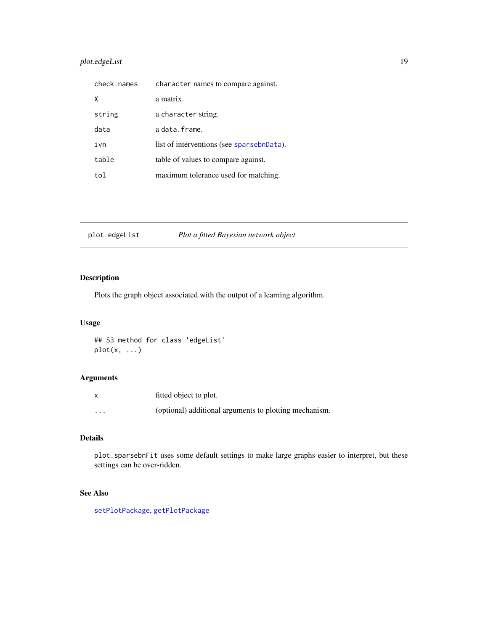# <span id="page-18-0"></span>plot.edgeList 19

| check.names | character names to compare against.       |
|-------------|-------------------------------------------|
| X           | a matrix.                                 |
| string      | a character string.                       |
| data        | a data.frame.                             |
| ivn         | list of interventions (see sparsebnData). |
| table       | table of values to compare against.       |
| tol         | maximum tolerance used for matching.      |

plot.edgeList *Plot a fitted Bayesian network object*

# Description

Plots the graph object associated with the output of a learning algorithm.

# Usage

```
## S3 method for class 'edgeList'
plot(x, ...)
```
# Arguments

|          | fitted object to plot.                                 |
|----------|--------------------------------------------------------|
| $\cdots$ | (optional) additional arguments to plotting mechanism. |

# Details

plot.sparsebnFit uses some default settings to make large graphs easier to interpret, but these settings can be over-ridden.

# See Also

[setPlotPackage](#page-23-1), [getPlotPackage](#page-23-2)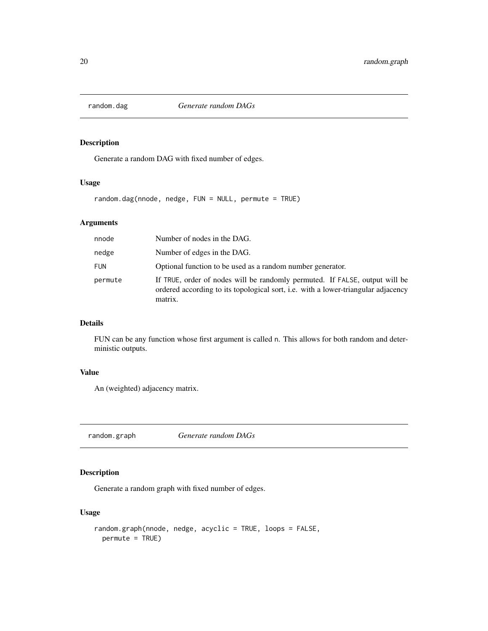<span id="page-19-0"></span>

Generate a random DAG with fixed number of edges.

#### Usage

random.dag(nnode, nedge, FUN = NULL, permute = TRUE)

# Arguments

| nnode      | Number of nodes in the DAG.                                                                                                                                                        |
|------------|------------------------------------------------------------------------------------------------------------------------------------------------------------------------------------|
| nedge      | Number of edges in the DAG.                                                                                                                                                        |
| <b>FUN</b> | Optional function to be used as a random number generator.                                                                                                                         |
| permute    | If TRUE, order of nodes will be randomly permuted. If FALSE, output will be<br>ordered according to its topological sort, <i>i.e.</i> with a lower-triangular adjacency<br>matrix. |

# Details

FUN can be any function whose first argument is called n. This allows for both random and deterministic outputs.

# Value

An (weighted) adjacency matrix.

random.graph *Generate random DAGs*

# Description

Generate a random graph with fixed number of edges.

# Usage

```
random.graph(nnode, nedge, acyclic = TRUE, loops = FALSE,
 permute = TRUE)
```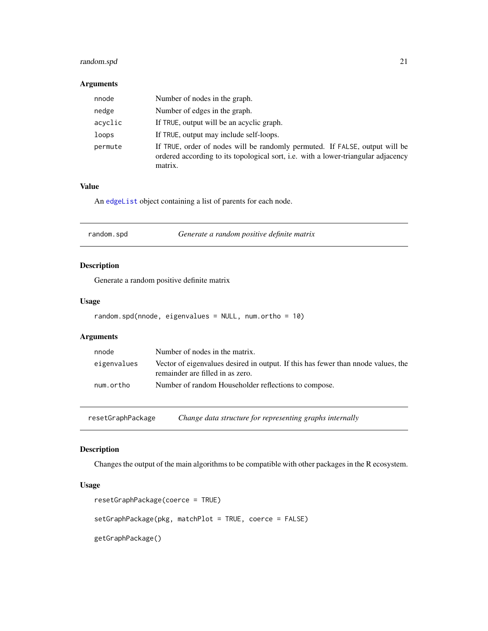# <span id="page-20-0"></span>random.spd 21

# Arguments

| nnode   | Number of nodes in the graph.                                                                                                                                               |
|---------|-----------------------------------------------------------------------------------------------------------------------------------------------------------------------------|
| nedge   | Number of edges in the graph.                                                                                                                                               |
| acyclic | If TRUE, output will be an acyclic graph.                                                                                                                                   |
| loops   | If TRUE, output may include self-loops.                                                                                                                                     |
| permute | If TRUE, order of nodes will be randomly permuted. If FALSE, output will be<br>ordered according to its topological sort, i.e. with a lower-triangular adjacency<br>matrix. |

# Value

An [edgeList](#page-5-1) object containing a list of parents for each node.

| random.spd |
|------------|
|------------|

# Description

Generate a random positive definite matrix

#### Usage

```
random.spd(nnode, eigenvalues = NULL, num.ortho = 10)
```
# Arguments

| nnode       | Number of nodes in the matrix.                                                                                        |
|-------------|-----------------------------------------------------------------------------------------------------------------------|
| eigenvalues | Vector of eigenvalues desired in output. If this has fewer than nnode values, the<br>remainder are filled in as zero. |
| num.ortho   | Number of random Householder reflections to compose.                                                                  |

resetGraphPackage *Change data structure for representing graphs internally*

# <span id="page-20-1"></span>Description

Changes the output of the main algorithms to be compatible with other packages in the R ecosystem.

#### Usage

```
resetGraphPackage(coerce = TRUE)
setGraphPackage(pkg, matchPlot = TRUE, coerce = FALSE)
getGraphPackage()
```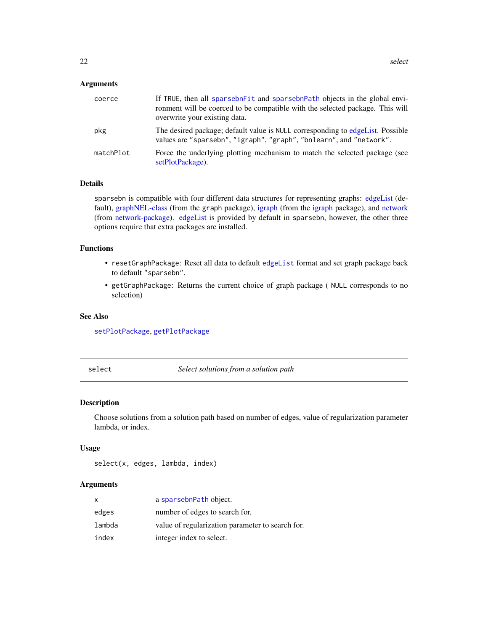#### <span id="page-21-0"></span>Arguments

| coerce    | If TRUE, then all sparsebn Fit and sparsebn Path objects in the global envi-<br>ronment will be coerced to be compatible with the selected package. This will<br>overwrite your existing data. |
|-----------|------------------------------------------------------------------------------------------------------------------------------------------------------------------------------------------------|
| pkg       | The desired package; default value is NULL corresponding to edgeList. Possible<br>values are "sparsebn", "igraph", "graph", "bnlearn", and "network".                                          |
| matchPlot | Force the underlying plotting mechanism to match the selected package (see<br>setPlotPackage).                                                                                                 |

# Details

sparsebn is compatible with four different data structures for representing graphs: [edgeList](#page-5-1) (default), [graphNEL-class](#page-0-0) (from the graph package), [igraph](#page-0-0) (from the [igraph](#page-0-0) package), and [network](#page-0-0) (from [network-package\)](#page-0-0). [edgeList](#page-5-1) is provided by default in sparsebn, however, the other three options require that extra packages are installed.

#### Functions

- resetGraphPackage: Reset all data to default [edgeList](#page-5-1) format and set graph package back to default "sparsebn".
- getGraphPackage: Returns the current choice of graph package ( NULL corresponds to no selection)

# See Also

[setPlotPackage](#page-23-1), [getPlotPackage](#page-23-2)

select *Select solutions from a solution path*

# Description

Choose solutions from a solution path based on number of edges, value of regularization parameter lambda, or index.

#### Usage

select(x, edges, lambda, index)

#### Arguments

| x      | a sparsebnPath object.                           |
|--------|--------------------------------------------------|
| edges  | number of edges to search for.                   |
| lambda | value of regularization parameter to search for. |
| index  | integer index to select.                         |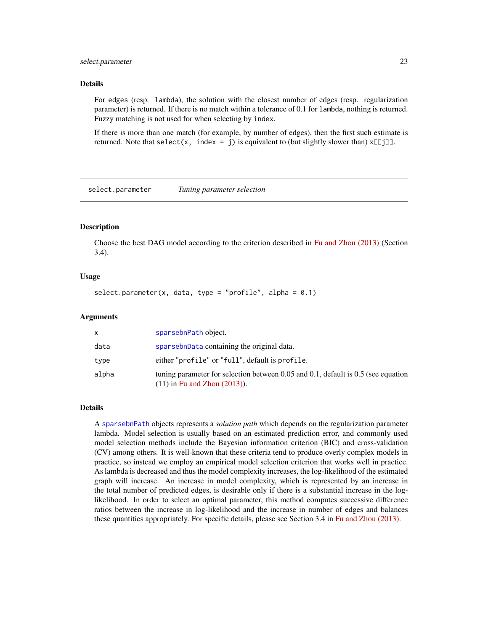#### <span id="page-22-0"></span>select.parameter 23

#### Details

For edges (resp. lambda), the solution with the closest number of edges (resp. regularization parameter) is returned. If there is no match within a tolerance of 0.1 for lambda, nothing is returned. Fuzzy matching is not used for when selecting by index.

If there is more than one match (for example, by number of edges), then the first such estimate is returned. Note that select(x, index = j) is equivalent to (but slightly slower than)  $x[[j]]$ .

select.parameter *Tuning parameter selection*

#### Description

Choose the best DAG model according to the criterion described in [Fu and Zhou \(2013\)](http://www.stat.ucla.edu/~zhou/publications/Fu13-JASA.pdf) (Section 3.4).

#### Usage

select.parameter(x, data, type = "profile", alpha =  $0.1$ )

#### Arguments

|       | sparsebnPath object.                                                                                                   |
|-------|------------------------------------------------------------------------------------------------------------------------|
| data  | sparsebnData containing the original data.                                                                             |
| type  | either "profile" or "full", default is profile.                                                                        |
| alpha | tuning parameter for selection between 0.05 and 0.1, default is 0.5 (see equation<br>$(11)$ in Fu and Zhou $(2013)$ ). |

#### Details

A [sparsebnPath](#page-30-1) objects represents a *solution path* which depends on the regularization parameter lambda. Model selection is usually based on an estimated prediction error, and commonly used model selection methods include the Bayesian information criterion (BIC) and cross-validation (CV) among others. It is well-known that these criteria tend to produce overly complex models in practice, so instead we employ an empirical model selection criterion that works well in practice. As lambda is decreased and thus the model complexity increases, the log-likelihood of the estimated graph will increase. An increase in model complexity, which is represented by an increase in the total number of predicted edges, is desirable only if there is a substantial increase in the loglikelihood. In order to select an optimal parameter, this method computes successive difference ratios between the increase in log-likelihood and the increase in number of edges and balances these quantities appropriately. For specific details, please see Section 3.4 in [Fu and Zhou \(2013\).](http://www.stat.ucla.edu/~zhou/publications/Fu13-JASA.pdf)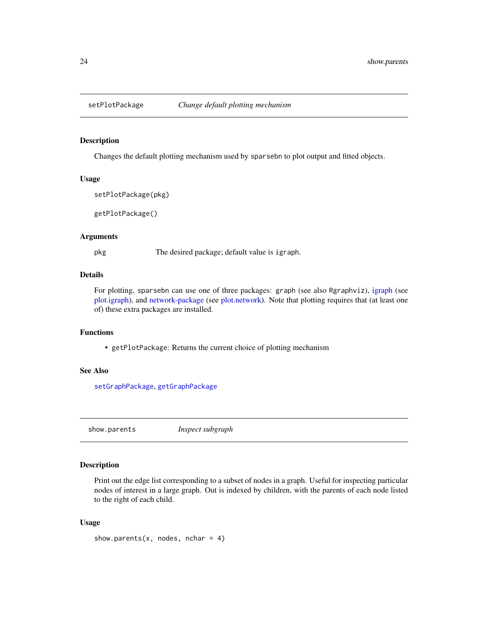<span id="page-23-2"></span><span id="page-23-1"></span><span id="page-23-0"></span>

Changes the default plotting mechanism used by sparsebn to plot output and fitted objects.

# Usage

```
setPlotPackage(pkg)
```
getPlotPackage()

# Arguments

pkg The desired package; default value is igraph.

# Details

For plotting, sparsebn can use one of three packages: graph (see also Rgraphviz), [igraph](#page-0-0) (see [plot.igraph\)](#page-0-0), and [network-package](#page-0-0) (see [plot.network\)](#page-0-0). Note that plotting requires that (at least one of) these extra packages are installed.

# Functions

• getPlotPackage: Returns the current choice of plotting mechanism

#### See Also

[setGraphPackage](#page-20-1), [getGraphPackage](#page-20-1)

<span id="page-23-3"></span>show.parents *Inspect subgraph*

#### Description

Print out the edge list corresponding to a subset of nodes in a graph. Useful for inspecting particular nodes of interest in a large graph. Out is indexed by children, with the parents of each node listed to the right of each child.

#### Usage

```
show.parents(x, nodes, nchar = 4)
```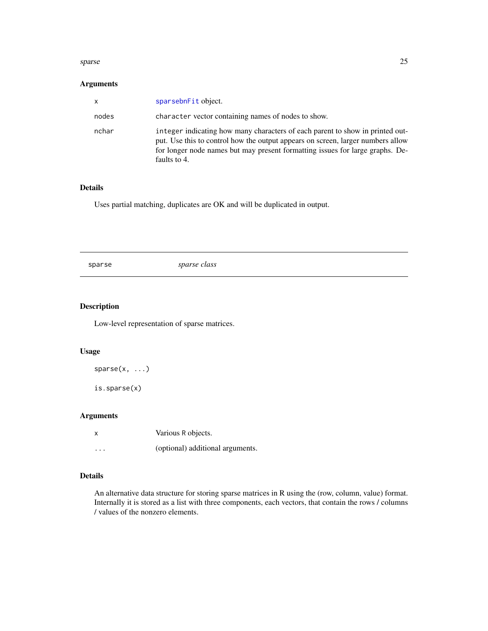#### <span id="page-24-0"></span>sparse 25

# Arguments

| $\mathsf{x}$ | sparsebnFit object.                                                                                                                                                                                                                                               |
|--------------|-------------------------------------------------------------------------------------------------------------------------------------------------------------------------------------------------------------------------------------------------------------------|
| nodes        | character vector containing names of nodes to show.                                                                                                                                                                                                               |
| nchar        | integer indicating how many characters of each parent to show in printed out-<br>put. Use this to control how the output appears on screen, larger numbers allow<br>for longer node names but may present formatting issues for large graphs. De-<br>faults to 4. |

# Details

Uses partial matching, duplicates are OK and will be duplicated in output.

<span id="page-24-1"></span>sparse *sparse class*

# Description

Low-level representation of sparse matrices.

#### Usage

 $sparse(x, \ldots)$ 

is.sparse(x)

# Arguments

| X        | Various R objects.               |
|----------|----------------------------------|
| $\cdots$ | (optional) additional arguments. |

#### Details

An alternative data structure for storing sparse matrices in R using the (row, column, value) format. Internally it is stored as a list with three components, each vectors, that contain the rows / columns / values of the nonzero elements.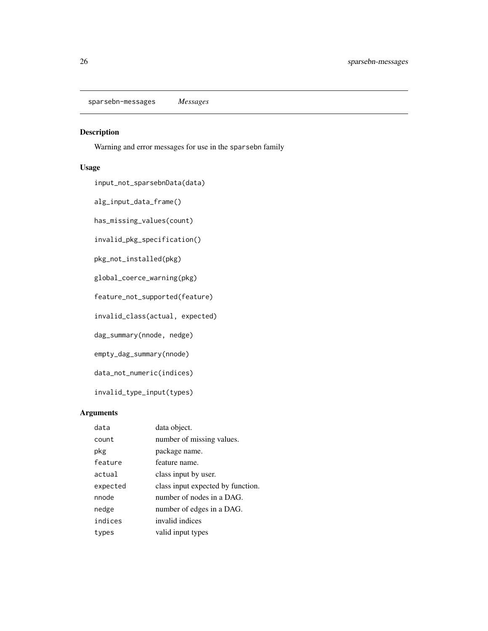<span id="page-25-0"></span>sparsebn-messages *Messages*

# Description

Warning and error messages for use in the sparsebn family

# Usage

input\_not\_sparsebnData(data)

alg\_input\_data\_frame()

has\_missing\_values(count)

invalid\_pkg\_specification()

pkg\_not\_installed(pkg)

global\_coerce\_warning(pkg)

feature\_not\_supported(feature)

invalid\_class(actual, expected)

dag\_summary(nnode, nedge)

empty\_dag\_summary(nnode)

data\_not\_numeric(indices)

invalid\_type\_input(types)

# Arguments

| data     | data object.                      |
|----------|-----------------------------------|
| count    | number of missing values.         |
| pkg      | package name.                     |
| feature  | feature name.                     |
| actual   | class input by user.              |
| expected | class input expected by function. |
| nnode    | number of nodes in a DAG.         |
| nedge    | number of edges in a DAG.         |
| indices  | invalid indices                   |
| types    | valid input types                 |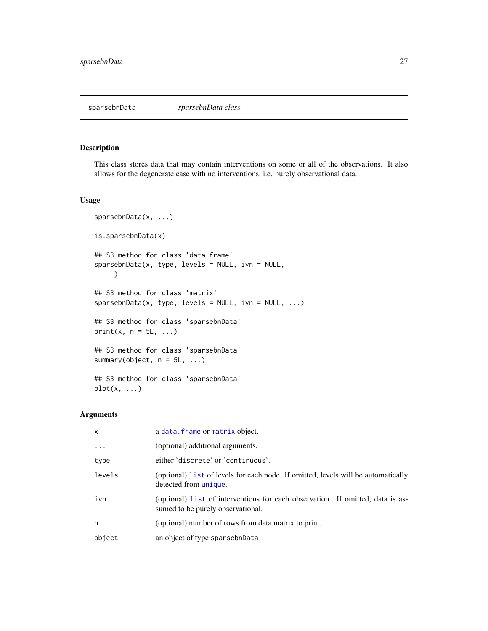<span id="page-26-1"></span><span id="page-26-0"></span>

This class stores data that may contain interventions on some or all of the observations. It also allows for the degenerate case with no interventions, i.e. purely observational data.

#### Usage

```
sparsebnData(x, ...)
is.sparsebnData(x)
## S3 method for class 'data.frame'
sparsebnData(x, type, levels = NULL, ivn = NULL,
  ...)
## S3 method for class 'matrix'
sparsebnData(x, type, levels = NULL, ivn = NULL, ...)
## S3 method for class 'sparsebnData'
print(x, n = 5L, ...)## S3 method for class 'sparsebnData'
summary(object, n = 5L, ...)
## S3 method for class 'sparsebnData'
plot(x, \ldots)
```
#### Arguments

| x          | a data. frame or matrix object.                                                                                     |
|------------|---------------------------------------------------------------------------------------------------------------------|
| $\ddots$ . | (optional) additional arguments.                                                                                    |
| type       | either 'discrete' or 'continuous'.                                                                                  |
| levels     | (optional) list of levels for each node. If omitted, levels will be automatically<br>detected from unique.          |
| ivn        | (optional) list of interventions for each observation. If omitted, data is as-<br>sumed to be purely observational. |
| n          | (optional) number of rows from data matrix to print.                                                                |
| object     | an object of type sparsebnData                                                                                      |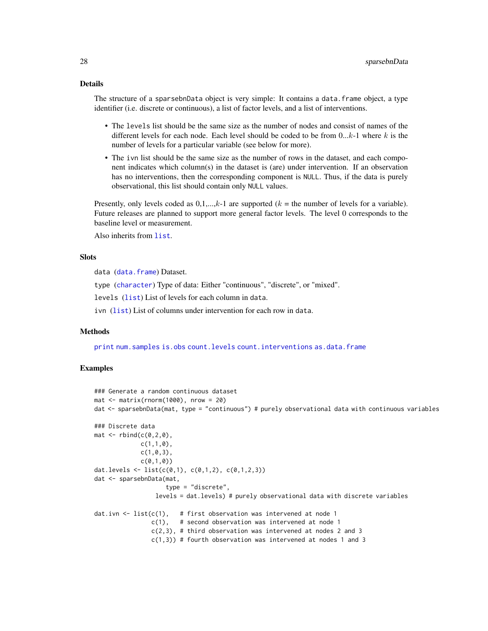# <span id="page-27-0"></span>Details

The structure of a sparsebnData object is very simple: It contains a data.frame object, a type identifier (i.e. discrete or continuous), a list of factor levels, and a list of interventions.

- The levels list should be the same size as the number of nodes and consist of names of the different levels for each node. Each level should be coded to be from  $0...k-1$  where k is the number of levels for a particular variable (see below for more).
- The ivn list should be the same size as the number of rows in the dataset, and each component indicates which column(s) in the dataset is (are) under intervention. If an observation has no interventions, then the corresponding component is NULL. Thus, if the data is purely observational, this list should contain only NULL values.

Presently, only levels coded as  $0,1,...,k-1$  are supported ( $k =$  the number of levels for a variable). Future releases are planned to support more general factor levels. The level 0 corresponds to the baseline level or measurement.

Also inherits from [list](#page-0-0).

#### **Slots**

data ([data.frame](#page-0-0)) Dataset.

type ([character](#page-0-0)) Type of data: Either "continuous", "discrete", or "mixed".

levels ([list](#page-0-0)) List of levels for each column in data.

ivn ([list](#page-0-0)) List of columns under intervention for each row in data.

#### Methods

[print](#page-0-0) [num.samples](#page-14-1) [is.obs](#page-12-1) [count.levels](#page-4-1) [count.interventions](#page-4-2) [as.data.frame](#page-0-0)

# Examples

```
### Generate a random continuous dataset
mat \leq matrix(rnorm(1000), nrow = 20)
dat <- sparsebnData(mat, type = "continuous") # purely observational data with continuous variables
### Discrete data
mat <- rbind(c(0, 2, 0),c(1,1,0),
             c(1, 0, 3),
             c(0,1,0)dat.levels <- list(c(0,1), c(0,1,2), c(0,1,2,3))
dat <- sparsebnData(mat,
                    type = "discrete",
                 levels = dat.levels) # purely observational data with discrete variables
dat.ivn \leq list(c(1), # first observation was intervened at node 1
                c(1), # second observation was intervened at node 1
                c(2,3), # third observation was intervened at nodes 2 and 3
                c(1,3)) # fourth observation was intervened at nodes 1 and 3
```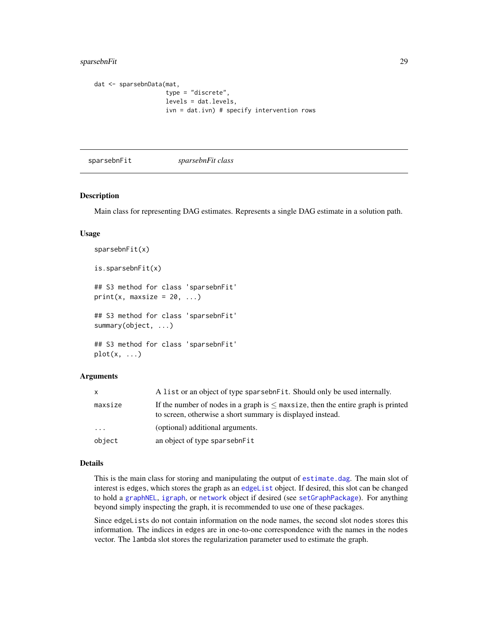# <span id="page-28-0"></span>sparsebnFit 29

```
dat <- sparsebnData(mat,
                    type = "discrete",
                    levels = dat.levels,
                    ivn = dat.ivn) # specify intervention rows
```
<span id="page-28-1"></span>sparsebnFit *sparsebnFit class*

#### Description

Main class for representing DAG estimates. Represents a single DAG estimate in a solution path.

#### Usage

```
sparsebnFit(x)
is.sparsebnFit(x)
## S3 method for class 'sparsebnFit'
print(x, maxsize = 20, ...)## S3 method for class 'sparsebnFit'
summary(object, ...)
## S3 method for class 'sparsebnFit'
plot(x, \ldots)
```
#### Arguments

| $\mathsf{x}$ | A list or an object of type sparsebnFit. Should only be used internally.                                                                            |
|--------------|-----------------------------------------------------------------------------------------------------------------------------------------------------|
| maxsize      | If the number of nodes in a graph is $\leq$ maxsize, then the entire graph is printed<br>to screen, otherwise a short summary is displayed instead. |
| $\cdots$     | (optional) additional arguments.                                                                                                                    |
| object       | an object of type sparsebnFit                                                                                                                       |

#### Details

This is the main class for storing and manipulating the output of [estimate.dag](#page-0-0). The main slot of interest is edges, which stores the graph as an [edgeList](#page-5-1) object. If desired, this slot can be changed to hold a [graphNEL](#page-0-0), [igraph](#page-0-0), or [network](#page-0-0) object if desired (see [setGraphPackage](#page-20-1)). For anything beyond simply inspecting the graph, it is recommended to use one of these packages.

Since edgeLists do not contain information on the node names, the second slot nodes stores this information. The indices in edges are in one-to-one correspondence with the names in the nodes vector. The lambda slot stores the regularization parameter used to estimate the graph.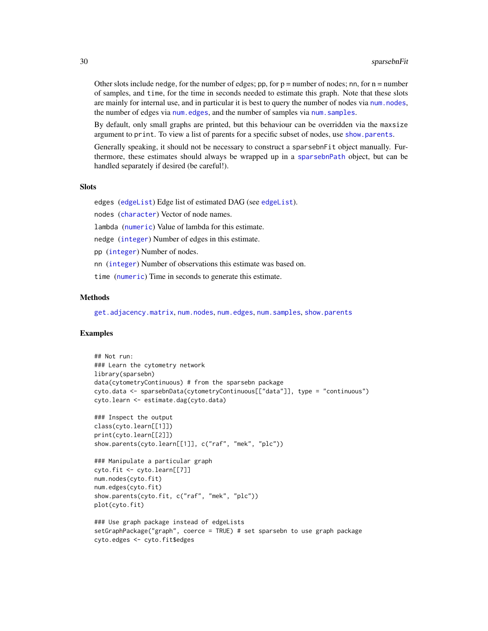Other slots include nedge, for the number of edges; pp, for  $p =$  number of nodes; nn, for  $n =$  number of samples, and time, for the time in seconds needed to estimate this graph. Note that these slots are mainly for internal use, and in particular it is best to query the number of nodes via num, nodes, the number of edges via num. edges, and the number of samples via num. samples.

By default, only small graphs are printed, but this behaviour can be overridden via the maxsize argument to print. To view a list of parents for a specific subset of nodes, use [show.parents](#page-23-3).

Generally speaking, it should not be necessary to construct a sparsebnFit object manually. Furthermore, these estimates should always be wrapped up in a [sparsebnPath](#page-30-1) object, but can be handled separately if desired (be careful!).

#### **Slots**

edges ([edgeList](#page-5-1)) Edge list of estimated DAG (see [edgeList](#page-5-1)).

nodes ([character](#page-0-0)) Vector of node names.

lambda ([numeric](#page-0-0)) Value of lambda for this estimate.

nedge ([integer](#page-0-0)) Number of edges in this estimate.

pp ([integer](#page-0-0)) Number of nodes.

nn ([integer](#page-0-0)) Number of observations this estimate was based on.

time ([numeric](#page-0-0)) Time in seconds to generate this estimate.

# Methods

[get.adjacency.matrix](#page-8-1), [num.nodes](#page-13-1), [num.edges](#page-13-2), [num.samples](#page-14-1), [show.parents](#page-23-3)

#### Examples

```
## Not run:
### Learn the cytometry network
library(sparsebn)
data(cytometryContinuous) # from the sparsebn package
cyto.data <- sparsebnData(cytometryContinuous[["data"]], type = "continuous")
cyto.learn <- estimate.dag(cyto.data)
### Inspect the output
class(cyto.learn[[1]])
print(cyto.learn[[2]])
show.parents(cyto.learn[[1]], c("raf", "mek", "plc"))
### Manipulate a particular graph
cyto.fit <- cyto.learn[[7]]
num.nodes(cyto.fit)
num.edges(cyto.fit)
show.parents(cyto.fit, c("raf", "mek", "plc"))
plot(cyto.fit)
### Use graph package instead of edgeLists
setGraphPackage("graph", coerce = TRUE) # set sparsebn to use graph package
cyto.edges <- cyto.fit$edges
```
<span id="page-29-0"></span>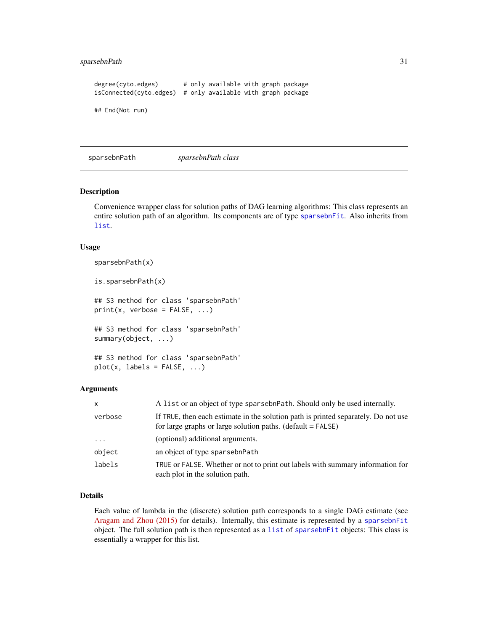# <span id="page-30-0"></span>sparsebnPath 31

degree(cyto.edges) # only available with graph package isConnected(cyto.edges) # only available with graph package ## End(Not run)

<span id="page-30-1"></span>sparsebnPath *sparsebnPath class*

#### Description

Convenience wrapper class for solution paths of DAG learning algorithms: This class represents an entire solution path of an algorithm. Its components are of type [sparsebnFit](#page-28-1). Also inherits from [list](#page-0-0).

#### Usage

sparsebnPath(x)

is.sparsebnPath(x)

## S3 method for class 'sparsebnPath'  $print(x,$  verbose =  $FALSE, ...)$ 

## S3 method for class 'sparsebnPath' summary(object, ...)

## S3 method for class 'sparsebnPath'  $plot(x, labels = FALSE, ...)$ 

#### Arguments

| $\mathsf{x}$        | A list or an object of type sparsebnPath. Should only be used internally.                                                                           |
|---------------------|-----------------------------------------------------------------------------------------------------------------------------------------------------|
| verbose             | If TRUE, then each estimate in the solution path is printed separately. Do not use<br>for large graphs or large solution paths. $(detault = FALSE)$ |
| $\cdot \cdot \cdot$ | (optional) additional arguments.                                                                                                                    |
| object              | an object of type sparsebnPath                                                                                                                      |
| labels              | TRUE or FALSE. Whether or not to print out labels with summary information for<br>each plot in the solution path.                                   |

#### Details

Each value of lambda in the (discrete) solution path corresponds to a single DAG estimate (see [Aragam and Zhou \(2015\)](http://jmlr.org/papers/v16/aragam15a.html) for details). Internally, this estimate is represented by a [sparsebnFit](#page-28-1) object. The full solution path is then represented as a [list](#page-0-0) of [sparsebnFit](#page-28-1) objects: This class is essentially a wrapper for this list.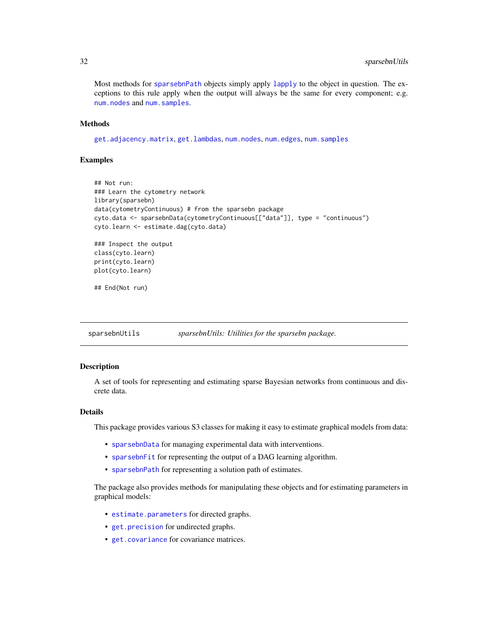<span id="page-31-0"></span>Most methods for [sparsebnPath](#page-30-1) objects simply apply [lapply](#page-0-0) to the object in question. The exceptions to this rule apply when the output will always be the same for every component; e.g. [num.nodes](#page-13-1) and [num.samples](#page-14-1).

# Methods

[get.adjacency.matrix](#page-8-1), [get.lambdas](#page-10-1), [num.nodes](#page-13-1), [num.edges](#page-13-2), [num.samples](#page-14-1)

#### Examples

```
## Not run:
### Learn the cytometry network
library(sparsebn)
data(cytometryContinuous) # from the sparsebn package
cyto.data <- sparsebnData(cytometryContinuous[["data"]], type = "continuous")
cyto.learn <- estimate.dag(cyto.data)
### Inspect the output
class(cyto.learn)
print(cyto.learn)
plot(cyto.learn)
## End(Not run)
```
sparsebnUtils *sparsebnUtils: Utilities for the sparsebn package.*

#### Description

A set of tools for representing and estimating sparse Bayesian networks from continuous and discrete data.

# Details

This package provides various S3 classes for making it easy to estimate graphical models from data:

- [sparsebnData](#page-26-1) for managing experimental data with interventions.
- [sparsebnFit](#page-28-1) for representing the output of a DAG learning algorithm.
- [sparsebnPath](#page-30-1) for representing a solution path of estimates.

The package also provides methods for manipulating these objects and for estimating parameters in graphical models:

- [estimate.parameters](#page-6-2) for directed graphs.
- [get.precision](#page-9-1) for undirected graphs.
- [get.covariance](#page-9-2) for covariance matrices.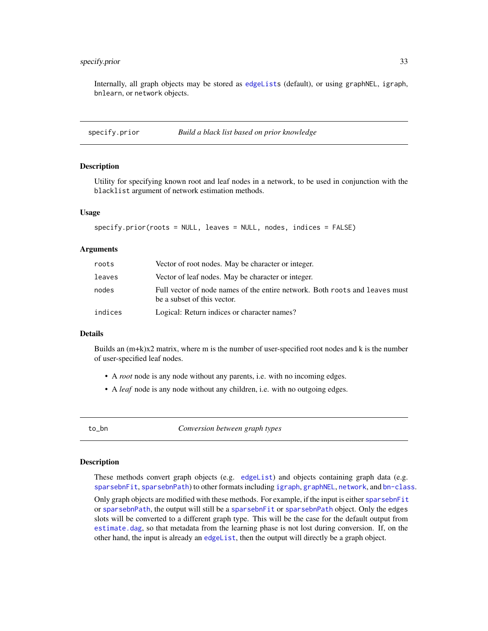# <span id="page-32-0"></span>specify.prior 33

Internally, all graph objects may be stored as [edgeLists](#page-5-1) (default), or using graphNEL, igraph, bnlearn, or network objects.

specify.prior *Build a black list based on prior knowledge*

#### **Description**

Utility for specifying known root and leaf nodes in a network, to be used in conjunction with the blacklist argument of network estimation methods.

#### Usage

```
specify.prior(roots = NULL, leaves = NULL, nodes, indices = FALSE)
```
#### Arguments

| roots   | Vector of root nodes. May be character or integer.                                                         |
|---------|------------------------------------------------------------------------------------------------------------|
| leaves  | Vector of leaf nodes. May be character or integer.                                                         |
| nodes   | Full vector of node names of the entire network. Both roots and leaves must<br>be a subset of this vector. |
| indices | Logical: Return indices or character names?                                                                |

#### Details

Builds an (m+k)x2 matrix, where m is the number of user-specified root nodes and k is the number of user-specified leaf nodes.

- A *root* node is any node without any parents, i.e. with no incoming edges.
- A *leaf* node is any node without any children, i.e. with no outgoing edges.

to\_bn *Conversion between graph types*

#### **Description**

These methods convert graph objects (e.g. [edgeList](#page-5-1)) and objects containing graph data (e.g. [sparsebnFit](#page-28-1), [sparsebnPath](#page-30-1)) to other formats including [igraph](#page-0-0), [graphNEL](#page-0-0), [network](#page-0-0), and [bn-class](#page-0-0).

Only graph objects are modified with these methods. For example, if the input is either [sparsebnFit](#page-28-1) or [sparsebnPath](#page-30-1), the output will still be a [sparsebnFit](#page-28-1) or [sparsebnPath](#page-30-1) object. Only the edges slots will be converted to a different graph type. This will be the case for the default output from [estimate.dag](#page-0-0), so that metadata from the learning phase is not lost during conversion. If, on the other hand, the input is already an [edgeList](#page-5-1), then the output will directly be a graph object.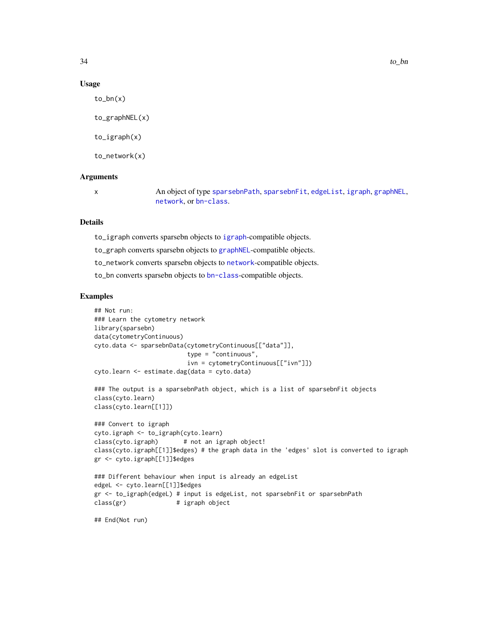#### Usage

 $to_bn(x)$ to\_graphNEL(x) to\_igraph(x)

to\_network(x)

# **Arguments**

x An object of type [sparsebnPath](#page-30-1), [sparsebnFit](#page-28-1), [edgeList](#page-5-1), [igraph](#page-0-0), [graphNEL](#page-0-0), [network](#page-0-0), or [bn-class](#page-0-0).

# Details

to\_igraph converts sparsebn objects to [igraph](#page-0-0)-compatible objects.

to\_graph converts sparsebn objects to [graphNEL](#page-0-0)-compatible objects.

to\_network converts sparsebn objects to [network](#page-0-0)-compatible objects.

to\_bn converts sparsebn objects to [bn-class](#page-0-0)-compatible objects.

#### Examples

```
## Not run:
### Learn the cytometry network
library(sparsebn)
data(cytometryContinuous)
cyto.data <- sparsebnData(cytometryContinuous[["data"]],
                         type = "continuous",
                         ivn = cytometryContinuous[["ivn"]])
cyto.learn <- estimate.dag(data = cyto.data)
### The output is a sparsebnPath object, which is a list of sparsebnFit objects
class(cyto.learn)
class(cyto.learn[[1]])
### Convert to igraph
cyto.igraph <- to_igraph(cyto.learn)
class(cyto.igraph) # not an igraph object!
class(cyto.igraph[[1]]$edges) # the graph data in the 'edges' slot is converted to igraph
gr <- cyto.igraph[[1]]$edges
### Different behaviour when input is already an edgeList
edgeL <- cyto.learn[[1]]$edges
gr <- to_igraph(edgeL) # input is edgeList, not sparsebnFit or sparsebnPath
class(gr) # igraph object
## End(Not run)
```
<span id="page-33-0"></span>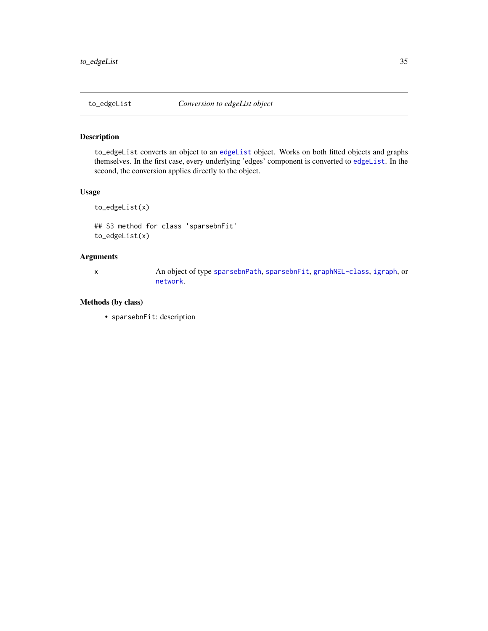<span id="page-34-0"></span>

to\_edgeList converts an object to an [edgeList](#page-5-1) object. Works on both fitted objects and graphs themselves. In the first case, every underlying 'edges' component is converted to [edgeList](#page-5-1). In the second, the conversion applies directly to the object.

# Usage

```
to_edgeList(x)
## S3 method for class 'sparsebnFit'
```

```
to_edgeList(x)
```
# Arguments

x An object of type [sparsebnPath](#page-30-1), [sparsebnFit](#page-28-1), [graphNEL-class](#page-0-0), [igraph](#page-0-0), or [network](#page-0-0).

# Methods (by class)

• sparsebnFit: description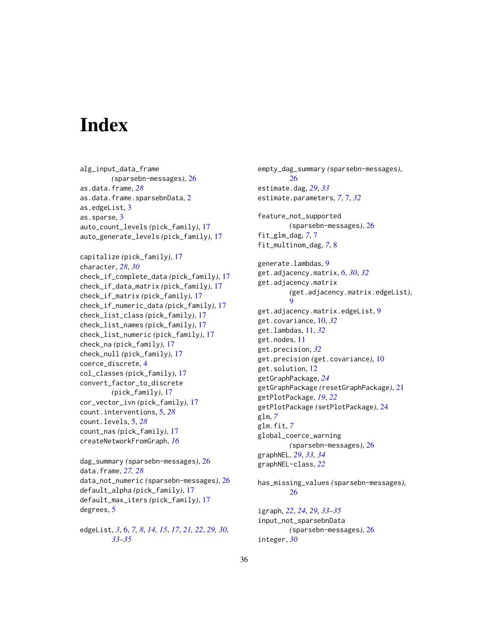# <span id="page-35-0"></span>**Index**

alg\_input\_data\_frame *(*sparsebn-messages*)*, [26](#page-25-0) as.data.frame, *[28](#page-27-0)* as.data.frame.sparsebnData, [2](#page-1-0) as.edgeList, [3](#page-2-0) as.sparse, [3](#page-2-0) auto\_count\_levels *(*pick\_family*)*, [17](#page-16-0) auto\_generate\_levels *(*pick\_family*)*, [17](#page-16-0)

```
capitalize (pick_family), 17
character, 28, 30
check_if_complete_data (pick_family), 17
check_if_data_matrix (pick_family), 17
check_if_matrix (pick_family), 17
check_if_numeric_data (pick_family), 17
check_list_class (pick_family), 17
check_list_names (pick_family), 17
check_list_numeric (pick_family), 17
check_na (pick_family), 17
check_null (pick_family), 17
coerce_discrete, 4
col_classes (pick_family), 17
convert_factor_to_discrete
        (pick_family), 17
cor_vector_ivn (pick_family), 17
count.interventions, 5, 28
count.levels, 5, 28
count_nas (pick_family), 17
createNetworkFromGraph, 16
```

```
dag_summary (sparsebn-messages), 26
data.frame, 27, 28
data_not_numeric (sparsebn-messages), 26
default_alpha (pick_family), 17
default_max_iters (pick_family), 17
degrees, 5
```
edgeList, *[3](#page-2-0)*, [6,](#page-5-0) *[7,](#page-6-0) [8](#page-7-0)*, *[14,](#page-13-0) [15](#page-14-0)*, *[17](#page-16-0)*, *[21,](#page-20-0) [22](#page-21-0)*, *[29,](#page-28-0) [30](#page-29-0)*, *[33](#page-32-0)[–35](#page-34-0)*

empty\_dag\_summary *(*sparsebn-messages*)*, [26](#page-25-0) estimate.dag, *[29](#page-28-0)*, *[33](#page-32-0)* estimate.parameters, *[7](#page-6-0)*, [7,](#page-6-0) *[32](#page-31-0)* feature\_not\_supported *(*sparsebn-messages*)*, [26](#page-25-0) fit\_glm\_dag, *[7](#page-6-0)*, [7](#page-6-0) fit\_multinom\_dag, *[7](#page-6-0)*, [8](#page-7-0) generate.lambdas, [9](#page-8-0) get.adjacency.matrix, *[6](#page-5-0)*, *[30](#page-29-0)*, *[32](#page-31-0)* get.adjacency.matrix *(*get.adjacency.matrix.edgeList*)*, [9](#page-8-0) get.adjacency.matrix.edgeList, [9](#page-8-0) get.covariance, [10,](#page-9-0) *[32](#page-31-0)* get.lambdas, [11,](#page-10-0) *[32](#page-31-0)* get.nodes, [11](#page-10-0) get.precision, *[32](#page-31-0)* get.precision *(*get.covariance*)*, [10](#page-9-0) get.solution, [12](#page-11-0) getGraphPackage, *[24](#page-23-0)* getGraphPackage *(*resetGraphPackage*)*, [21](#page-20-0) getPlotPackage, *[19](#page-18-0)*, *[22](#page-21-0)* getPlotPackage *(*setPlotPackage*)*, [24](#page-23-0) glm, *[7](#page-6-0)* glm.fit, *[7](#page-6-0)* global\_coerce\_warning *(*sparsebn-messages*)*, [26](#page-25-0) graphNEL, *[29](#page-28-0)*, *[33,](#page-32-0) [34](#page-33-0)* graphNEL-class, *[22](#page-21-0)*

has\_missing\_values *(*sparsebn-messages*)*, [26](#page-25-0)

igraph, *[22](#page-21-0)*, *[24](#page-23-0)*, *[29](#page-28-0)*, *[33](#page-32-0)[–35](#page-34-0)* input\_not\_sparsebnData *(*sparsebn-messages*)*, [26](#page-25-0) integer, *[30](#page-29-0)*